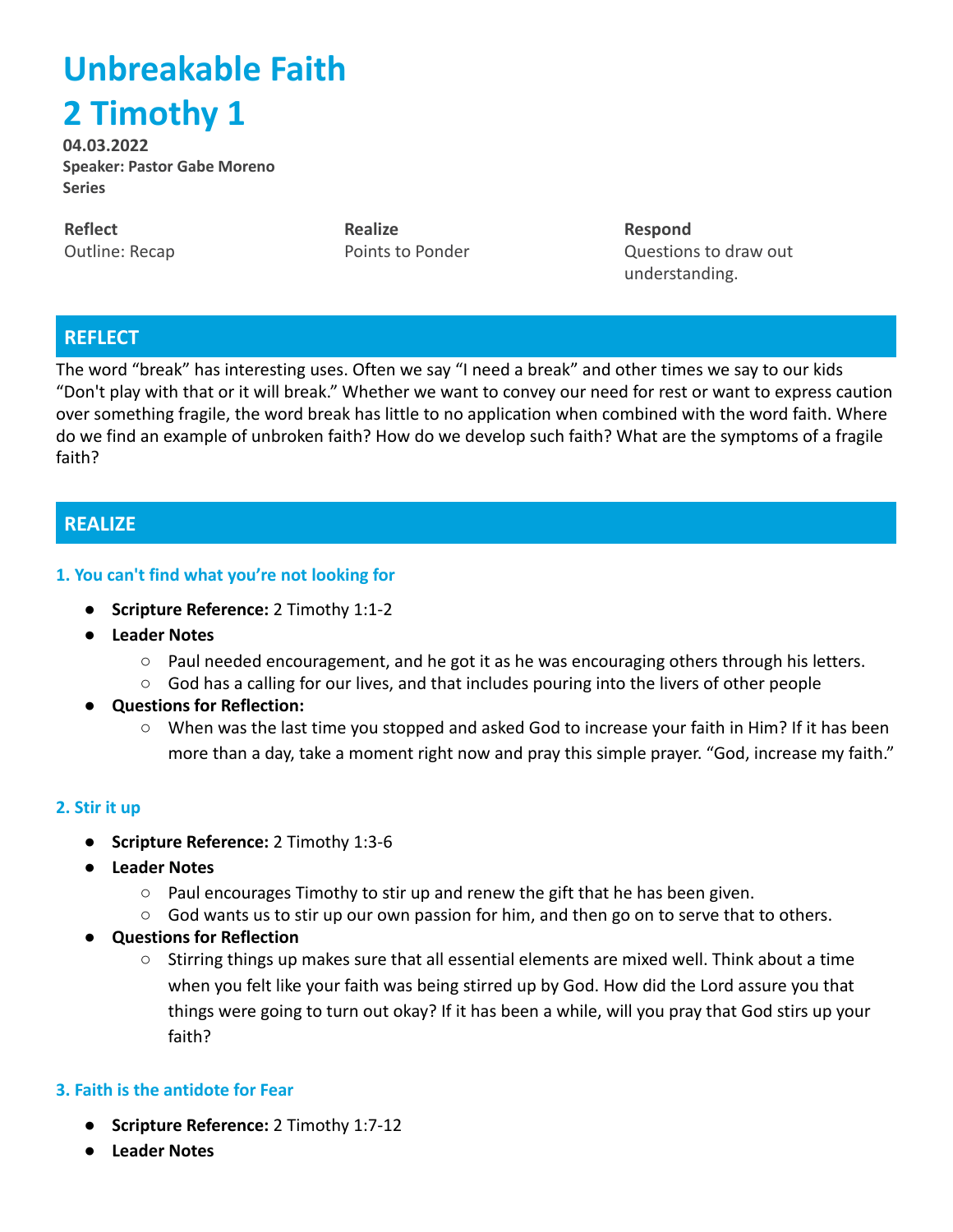# **Unbreakable Faith 2 Timothy 1**

**04.03.2022 Speaker: Pastor Gabe Moreno Series**

**Reflect** Outline: Recap **Realize** Points to Ponder **Respond** Questions to draw out understanding.

# **REFLECT**

The word "break" has interesting uses. Often we say "I need a break" and other times we say to our kids "Don't play with that or it will break." Whether we want to convey our need for rest or want to express caution over something fragile, the word break has little to no application when combined with the word faith. Where do we find an example of unbroken faith? How do we develop such faith? What are the symptoms of a fragile faith?

# **REALIZE**

#### **1. You can't find what you're not looking for**

- **● Scripture Reference:** 2 Timothy 1:1-2
- **● Leader Notes**
	- $\circ$  Paul needed encouragement, and he got it as he was encouraging others through his letters.
	- God has a calling for our lives, and that includes pouring into the livers of other people
- **Questions for Reflection:**
	- When was the last time you stopped and asked God to increase your faith in Him? If it has been more than a day, take a moment right now and pray this simple prayer. "God, increase my faith."

#### **2. Stir it up**

- **● Scripture Reference:** 2 Timothy 1:3-6
- **● Leader Notes**
	- $\circ$  Paul encourages Timothy to stir up and renew the gift that he has been given.
	- $\circ$  God wants us to stir up our own passion for him, and then go on to serve that to others.
- **Questions for Reflection**
	- **○** Stirring things up makes sure that all essential elements are mixed well. Think about a time when you felt like your faith was being stirred up by God. How did the Lord assure you that things were going to turn out okay? If it has been a while, will you pray that God stirs up your faith?

#### **3. Faith is the antidote for Fear**

- **● Scripture Reference:** 2 Timothy 1:7-12
- **● Leader Notes**